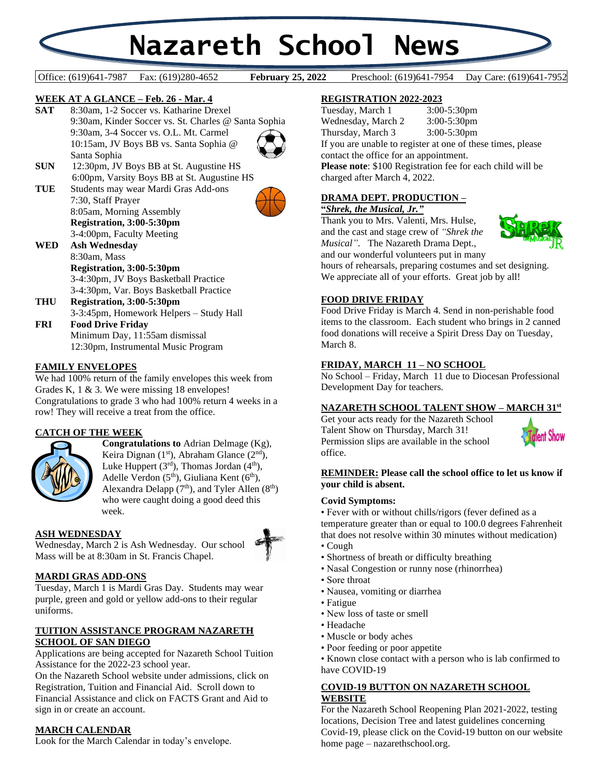# **Nazareth School News**

## Office: (619)641-7987 Fax: (619)280-4652 **February 25, 2022** Preschool: (619)641-7954 Day Care: (619)641-7952

**February 25, 2022** 

## **WEEK AT A GLANCE – Feb. 26 - Mar. 4**

**SAT** 8:30am, 1-2 Soccer vs. Katharine Drexel 9:30am, Kinder Soccer vs. St. Charles @ Santa Sophia 9:30am, 3-4 Soccer vs. O.L. Mt. Carmel 10:15am, JV Boys BB vs. Santa Sophia @ Santa Sophia



- **SUN** 12:30pm, JV Boys BB at St. Augustine HS 6:00pm, Varsity Boys BB at St. Augustine HS
- **TUE** Students may wear Mardi Gras Add-ons 7:30, Staff Prayer 8:05am, Morning Assembly **Registration, 3:00-5:30pm**



3-4:00pm, Faculty Meeting **WED Ash Wednesday**

8:30am, Mass **Registration, 3:00-5:30pm** 3-4:30pm, JV Boys Basketball Practice 3-4:30pm, Var. Boys Basketball Practice

- **THU Registration, 3:00-5:30pm** 3-3:45pm, Homework Helpers – Study Hall
- **FRI Food Drive Friday** Minimum Day, 11:55am dismissal 12:30pm, Instrumental Music Program

## **FAMILY ENVELOPES**

We had 100% return of the family envelopes this week from Grades K, 1 & 3. We were missing 18 envelopes! Congratulations to grade 3 who had 100% return 4 weeks in a row! They will receive a treat from the office.

## **CATCH OF THE WEEK**



**Congratulations to** Adrian Delmage (Kg), Keira Dignan (1<sup>st</sup>), Abraham Glance (2<sup>nd</sup>), Luke Huppert  $(3<sup>rd</sup>)$ , Thomas Jordan  $(4<sup>th</sup>)$ , Adelle Verdon  $(5<sup>th</sup>)$ , Giuliana Kent  $(6<sup>th</sup>)$ , Alexandra Delapp  $(7<sup>th</sup>)$ , and Tyler Allen  $(8<sup>th</sup>)$ who were caught doing a good deed this week.

## **ASH WEDNESDAY** Wednesday, March 2 is Ash Wednesday. Our school

## **MARDI GRAS ADD-ONS**

Tuesday, March 1 is Mardi Gras Day. Students may wear purple, green and gold or yellow add-ons to their regular uniforms.

Mass will be at 8:30am in St. Francis Chapel.

## **TUITION ASSISTANCE PROGRAM NAZARETH SCHOOL OF SAN DIEGO**

Applications are being accepted for Nazareth School Tuition Assistance for the 2022-23 school year.

On the Nazareth School website under admissions, click on Registration, Tuition and Financial Aid. Scroll down to Financial Assistance and click on FACTS Grant and Aid to sign in or create an account.

## **MARCH CALENDAR**

Look for the March Calendar in today's envelope.

# **REGISTRATION 2022-2023**

Tuesday, March 1 3:00-5:30pm Wednesday, March 2 3:00-5:30pm Thursday, March 3 3:00-5:30pm If you are unable to register at one of these times, please contact the office for an appointment.

**Please note**: \$100 Registration fee for each child will be charged after March 4, 2022.

## **DRAMA DEPT. PRODUCTION –**

## **"***Shrek, the Musical, Jr."*

Thank you to Mrs. Valenti, Mrs. Hulse, and the cast and stage crew of *"Shrek the Musical"*. The Nazareth Drama Dept., and our wonderful volunteers put in many



hours of rehearsals, preparing costumes and set designing. We appreciate all of your efforts. Great job by all!

## **FOOD DRIVE FRIDAY**

Food Drive Friday is March 4. Send in non-perishable food items to the classroom. Each student who brings in 2 canned food donations will receive a Spirit Dress Day on Tuesday, March 8.

## **FRIDAY, MARCH 11 – NO SCHOOL**

No School – Friday, March 11 due to Diocesan Professional Development Day for teachers.

# **NAZARETH SCHOOL TALENT SHOW – MARCH 31st**

Get your acts ready for the Nazareth School Talent Show on Thursday, March 31! Permission slips are available in the school office.



## **REMINDER: Please call the school office to let us know if your child is absent.**

## **Covid Symptoms:**

• Fever with or without chills/rigors (fever defined as a temperature greater than or equal to 100.0 degrees Fahrenheit that does not resolve within 30 minutes without medication)

- Cough
- Shortness of breath or difficulty breathing
- Nasal Congestion or runny nose (rhinorrhea)
- Sore throat
- Nausea, vomiting or diarrhea
- Fatigue
- New loss of taste or smell
- Headache
- Muscle or body aches
- Poor feeding or poor appetite

• Known close contact with a person who is lab confirmed to have COVID-19

# **COVID-19 BUTTON ON NAZARETH SCHOOL WEBSITE**

For the Nazareth School Reopening Plan 2021-2022, testing locations, Decision Tree and latest guidelines concerning Covid-19, please click on the Covid-19 button on our website home page – nazarethschool.org.